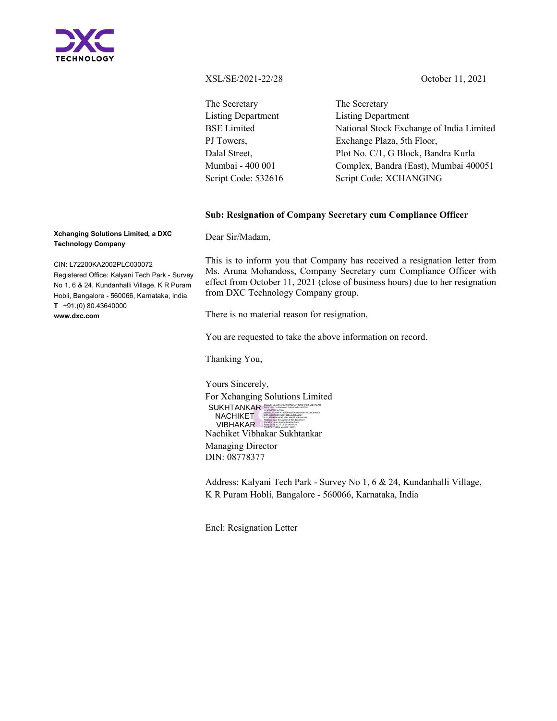

XSL/SE/2021-22/28 October 11, 2021

The Secretary Listing Department BSE Limited PJ Towers, Dalal Street, Mumbai - 400 001 Script Code: 532616 The Secretary Listing Department National Stock Exchange of India Limited Exchange Plaza, 5th Floor, Plot No. C/1, G Block, Bandra Kurla Complex, Bandra (East), Mumbai 400051 Script Code: XCHANGING

## Sub: Resignation of Company Secretary cum Compliance Officer

Xchanging Solutions Limited, a DXC Technology Company

CIN: L72200KA2002PLC030072

Registered Office: Kalyani Tech Park - Survey No 1, 6 & 24, Kundanhalli Village, K R Puram Hobli, Bangalore - 560066, Karnataka, India T +91.(0) 80.43640000 www.dxc.com

Dear Sir/Madam,

This is to inform you that Company has received a resignation letter from Ms. Aruna Mohandoss, Company Secretary cum Compliance Officer with effect from October 11, 2021 (close of business hours) due to her resignation from DXC Technology Company group.

There is no material reason for resignation.

You are requested to take the above information on record.

Thanking You,

Yours Sincerely, For Xchanging Solutions Limited SUKHTANKAR NACHI SIGNED BY SUKHTANKAR NACHIKET VIBHAKAR<br>- SERNANNAS SERNANNASER-40025, DER NACHI SERNANNASER<br>- SERNANNASER-4020047705461540271344c64006 Nachiket Vibhakar Sukhtankar Managing Director DIN: 08778377 S-MAHARASHITRA,<br>SERIALNIUMER-«312801472834615abbc7124ac5adb06<br>SERIALNIUMER-«312801472a65abba77c7,<br>CN-5UKHTANKAR NACHIKET VIBHAKAR<br>Racaton: jam is author of this document<br>Data 2023, 10.11 12.13.584-0530<br>Data 2023, 10.11 12. NACHIKET VIBHAKAR

Address: Kalyani Tech Park - Survey No 1, 6 & 24, Kundanhalli Village, K R Puram Hobli, Bangalore - 560066, Karnataka, India

Encl: Resignation Letter